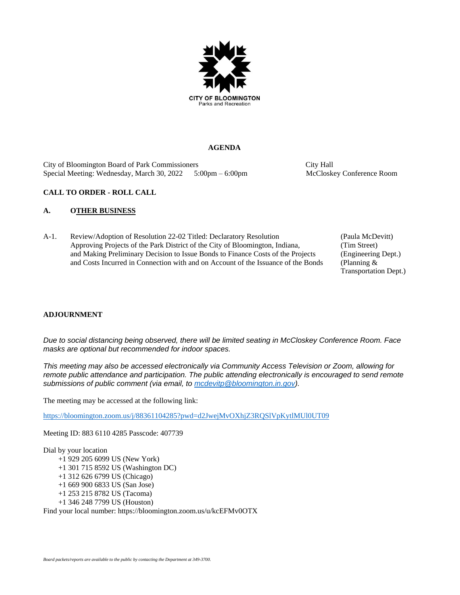

#### **AGENDA**

City of Bloomington Board of Park Commissioners City Hall Special Meeting: Wednesday, March 30, 2022 5:00pm – 6:00pm McCloskey Conference Room

#### **CALL TO ORDER - ROLL CALL**

#### **A. OTHER BUSINESS**

A-1. Review/Adoption of Resolution 22-02 Titled: Declaratory Resolution (Paula McDevitt) Approving Projects of the Park District of the City of Bloomington, Indiana, (Tim Street) and Making Preliminary Decision to Issue Bonds to Finance Costs of the Projects (Engineering Dept.) and Costs Incurred in Connection with and on Account of the Issuance of the Bonds (Planning &

Transportation Dept.)

#### **ADJOURNMENT**

*Due to social distancing being observed, there will be limited seating in McCloskey Conference Room. Face masks are optional but recommended for indoor spaces.*

*This meeting may also be accessed electronically via Community Access Television or Zoom, allowing for remote public attendance and participation. The public attending electronically is encouraged to send remote submissions of public comment (via email, to [mcdevitp@bloomington.in.gov\)](mailto:mcdevitp@bloomington.in.gov).*

The meeting may be accessed at the following link:

<https://bloomington.zoom.us/j/88361104285?pwd=d2JwejMvOXhjZ3RQSlVpKytlMUl0UT09>

Meeting ID: 883 6110 4285 Passcode: 407739

Dial by your location

- +1 929 205 6099 US (New York)
- +1 301 715 8592 US (Washington DC)
- +1 312 626 6799 US (Chicago)
- +1 669 900 6833 US (San Jose)
- +1 253 215 8782 US (Tacoma)
- +1 346 248 7799 US (Houston)

Find your local number: https://bloomington.zoom.us/u/kcEFMv0OTX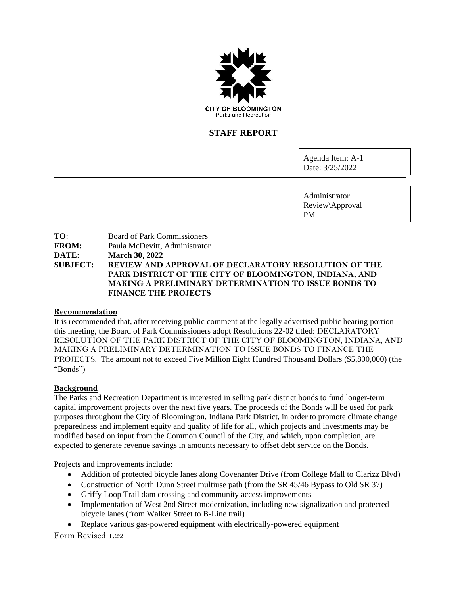

# **STAFF REPORT**

Agenda Item: A-1 Date: 3/25/2022

Administrator Review\Approval PM

**TO**: Board of Park Commissioners **FROM:** Paula McDevitt, Administrator **DATE: March 30, 2022 SUBJECT: REVIEW AND APPROVAL OF DECLARATORY RESOLUTION OF THE PARK DISTRICT OF THE CITY OF BLOOMINGTON, INDIANA, AND MAKING A PRELIMINARY DETERMINATION TO ISSUE BONDS TO FINANCE THE PROJECTS**

### **Recommendation**

It is recommended that, after receiving public comment at the legally advertised public hearing portion this meeting, the Board of Park Commissioners adopt Resolutions 22-02 titled: DECLARATORY RESOLUTION OF THE PARK DISTRICT OF THE CITY OF BLOOMINGTON, INDIANA, AND MAKING A PRELIMINARY DETERMINATION TO ISSUE BONDS TO FINANCE THE PROJECTS. The amount not to exceed Five Million Eight Hundred Thousand Dollars (\$5,800,000) (the "Bonds")

### **Background**

The Parks and Recreation Department is interested in selling park district bonds to fund longer-term capital improvement projects over the next five years. The proceeds of the Bonds will be used for park purposes throughout the City of Bloomington, Indiana Park District, in order to promote climate change preparedness and implement equity and quality of life for all, which projects and investments may be modified based on input from the Common Council of the City, and which, upon completion, are expected to generate revenue savings in amounts necessary to offset debt service on the Bonds.

Projects and improvements include:

- Addition of protected bicycle lanes along Covenanter Drive (from College Mall to Clarizz Blvd)
- Construction of North Dunn Street multiuse path (from the SR 45/46 Bypass to Old SR 37)
- Griffy Loop Trail dam crossing and community access improvements
- Implementation of West 2nd Street modernization, including new signalization and protected bicycle lanes (from Walker Street to B-Line trail)
- Replace various gas-powered equipment with electrically-powered equipment

Form Revised 1.22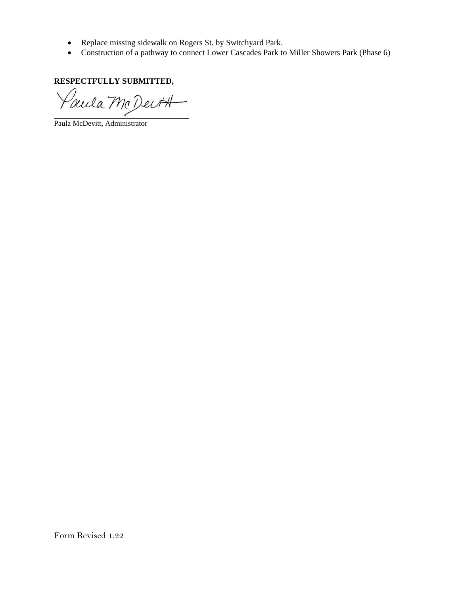- Replace missing sidewalk on Rogers St. by Switchyard Park.
- Construction of a pathway to connect Lower Cascades Park to Miller Showers Park (Phase 6)

**RESPECTFULLY SUBMITTED,**

Paula McDevitt

Paula McDevitt, Administrator

Form Revised 1.22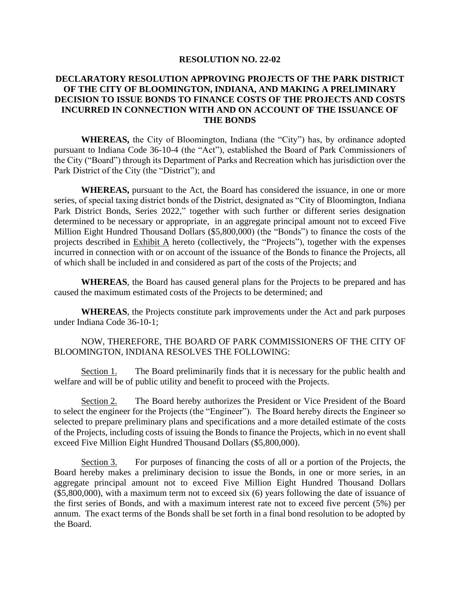### **RESOLUTION NO. 22-02**

# **DECLARATORY RESOLUTION APPROVING PROJECTS OF THE PARK DISTRICT OF THE CITY OF BLOOMINGTON, INDIANA, AND MAKING A PRELIMINARY DECISION TO ISSUE BONDS TO FINANCE COSTS OF THE PROJECTS AND COSTS INCURRED IN CONNECTION WITH AND ON ACCOUNT OF THE ISSUANCE OF THE BONDS**

**WHEREAS,** the City of Bloomington, Indiana (the "City") has, by ordinance adopted pursuant to Indiana Code 36-10-4 (the "Act"), established the Board of Park Commissioners of the City ("Board") through its Department of Parks and Recreation which has jurisdiction over the Park District of the City (the "District"); and

**WHEREAS,** pursuant to the Act, the Board has considered the issuance, in one or more series, of special taxing district bonds of the District, designated as "City of Bloomington, Indiana Park District Bonds, Series 2022," together with such further or different series designation determined to be necessary or appropriate, in an aggregate principal amount not to exceed Five Million Eight Hundred Thousand Dollars (\$5,800,000) (the "Bonds") to finance the costs of the projects described in  $\overline{\text{Exhibit A}}$  hereto (collectively, the "Projects"), together with the expenses incurred in connection with or on account of the issuance of the Bonds to finance the Projects, all of which shall be included in and considered as part of the costs of the Projects; and

**WHEREAS**, the Board has caused general plans for the Projects to be prepared and has caused the maximum estimated costs of the Projects to be determined; and

**WHEREAS**, the Projects constitute park improvements under the Act and park purposes under Indiana Code 36-10-1;

### NOW, THEREFORE, THE BOARD OF PARK COMMISSIONERS OF THE CITY OF BLOOMINGTON, INDIANA RESOLVES THE FOLLOWING:

Section 1. The Board preliminarily finds that it is necessary for the public health and welfare and will be of public utility and benefit to proceed with the Projects.

Section 2. The Board hereby authorizes the President or Vice President of the Board to select the engineer for the Projects (the "Engineer"). The Board hereby directs the Engineer so selected to prepare preliminary plans and specifications and a more detailed estimate of the costs of the Projects, including costs of issuing the Bonds to finance the Projects, which in no event shall exceed Five Million Eight Hundred Thousand Dollars (\$5,800,000).

Section 3. For purposes of financing the costs of all or a portion of the Projects, the Board hereby makes a preliminary decision to issue the Bonds, in one or more series, in an aggregate principal amount not to exceed Five Million Eight Hundred Thousand Dollars (\$5,800,000), with a maximum term not to exceed six (6) years following the date of issuance of the first series of Bonds, and with a maximum interest rate not to exceed five percent (5%) per annum. The exact terms of the Bonds shall be set forth in a final bond resolution to be adopted by the Board.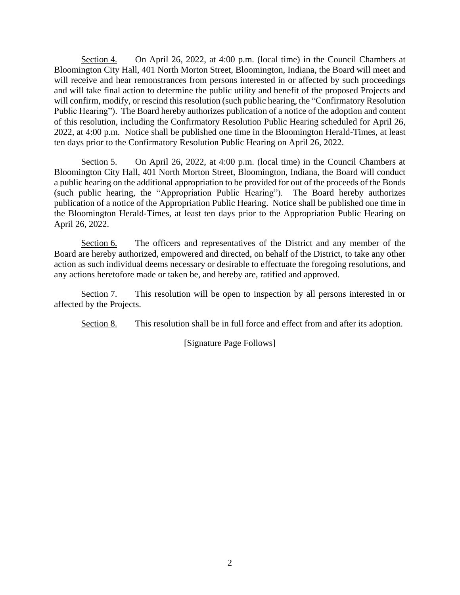Section 4. On April 26, 2022, at 4:00 p.m. (local time) in the Council Chambers at Bloomington City Hall, 401 North Morton Street, Bloomington, Indiana, the Board will meet and will receive and hear remonstrances from persons interested in or affected by such proceedings and will take final action to determine the public utility and benefit of the proposed Projects and will confirm, modify, or rescind this resolution (such public hearing, the "Confirmatory Resolution") Public Hearing"). The Board hereby authorizes publication of a notice of the adoption and content of this resolution, including the Confirmatory Resolution Public Hearing scheduled for April 26, 2022, at 4:00 p.m. Notice shall be published one time in the Bloomington Herald-Times, at least ten days prior to the Confirmatory Resolution Public Hearing on April 26, 2022.

Section 5. On April 26, 2022, at 4:00 p.m. (local time) in the Council Chambers at Bloomington City Hall, 401 North Morton Street, Bloomington, Indiana, the Board will conduct a public hearing on the additional appropriation to be provided for out of the proceeds of the Bonds (such public hearing, the "Appropriation Public Hearing"). The Board hereby authorizes publication of a notice of the Appropriation Public Hearing. Notice shall be published one time in the Bloomington Herald-Times, at least ten days prior to the Appropriation Public Hearing on April 26, 2022.

Section 6. The officers and representatives of the District and any member of the Board are hereby authorized, empowered and directed, on behalf of the District, to take any other action as such individual deems necessary or desirable to effectuate the foregoing resolutions, and any actions heretofore made or taken be, and hereby are, ratified and approved.

Section 7. This resolution will be open to inspection by all persons interested in or affected by the Projects.

Section 8. This resolution shall be in full force and effect from and after its adoption.

[Signature Page Follows]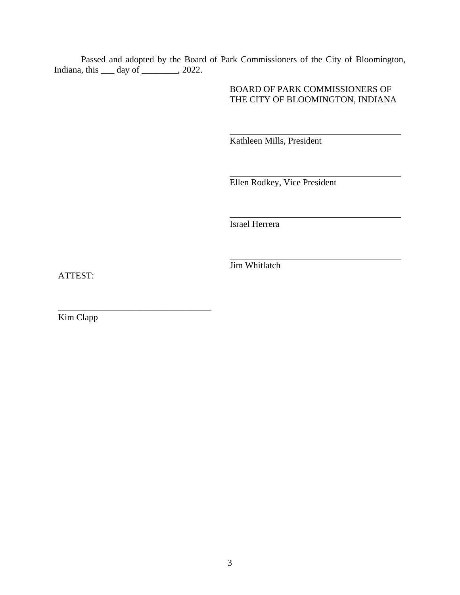Passed and adopted by the Board of Park Commissioners of the City of Bloomington, Indiana, this  $\_\_\_$  day of  $\_\_\_\_$ , 2022.

> BOARD OF PARK COMMISSIONERS OF THE CITY OF BLOOMINGTON, INDIANA

Kathleen Mills, President

Ellen Rodkey, Vice President

Israel Herrera

Jim Whitlatch

ATTEST:

Kim Clapp

\_\_\_\_\_\_\_\_\_\_\_\_\_\_\_\_\_\_\_\_\_\_\_\_\_\_\_\_\_\_\_\_\_\_